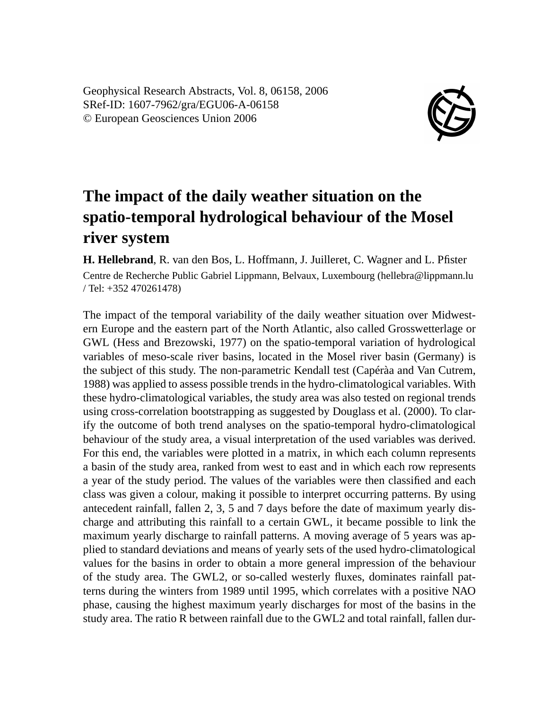Geophysical Research Abstracts, Vol. 8, 06158, 2006 SRef-ID: 1607-7962/gra/EGU06-A-06158 © European Geosciences Union 2006



## **The impact of the daily weather situation on the spatio-temporal hydrological behaviour of the Mosel river system**

**H. Hellebrand**, R. van den Bos, L. Hoffmann, J. Juilleret, C. Wagner and L. Pfister Centre de Recherche Public Gabriel Lippmann, Belvaux, Luxembourg (hellebra@lippmann.lu / Tel: +352 470261478)

The impact of the temporal variability of the daily weather situation over Midwestern Europe and the eastern part of the North Atlantic, also called Grosswetterlage or GWL (Hess and Brezowski, 1977) on the spatio-temporal variation of hydrological variables of meso-scale river basins, located in the Mosel river basin (Germany) is the subject of this study. The non-parametric Kendall test (Capéràa and Van Cutrem, 1988) was applied to assess possible trends in the hydro-climatological variables. With these hydro-climatological variables, the study area was also tested on regional trends using cross-correlation bootstrapping as suggested by Douglass et al. (2000). To clarify the outcome of both trend analyses on the spatio-temporal hydro-climatological behaviour of the study area, a visual interpretation of the used variables was derived. For this end, the variables were plotted in a matrix, in which each column represents a basin of the study area, ranked from west to east and in which each row represents a year of the study period. The values of the variables were then classified and each class was given a colour, making it possible to interpret occurring patterns. By using antecedent rainfall, fallen 2, 3, 5 and 7 days before the date of maximum yearly discharge and attributing this rainfall to a certain GWL, it became possible to link the maximum yearly discharge to rainfall patterns. A moving average of 5 years was applied to standard deviations and means of yearly sets of the used hydro-climatological values for the basins in order to obtain a more general impression of the behaviour of the study area. The GWL2, or so-called westerly fluxes, dominates rainfall patterns during the winters from 1989 until 1995, which correlates with a positive NAO phase, causing the highest maximum yearly discharges for most of the basins in the study area. The ratio R between rainfall due to the GWL2 and total rainfall, fallen dur